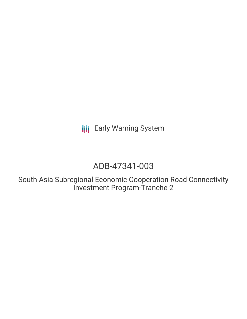**III** Early Warning System

# ADB-47341-003

South Asia Subregional Economic Cooperation Road Connectivity Investment Program-Tranche 2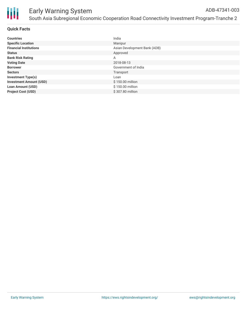

## **Quick Facts**

| <b>Countries</b>               | India                        |
|--------------------------------|------------------------------|
| <b>Specific Location</b>       | Manipur                      |
| <b>Financial Institutions</b>  | Asian Development Bank (ADB) |
| <b>Status</b>                  | Approved                     |
| <b>Bank Risk Rating</b>        | Α                            |
| <b>Voting Date</b>             | 2018-08-13                   |
| <b>Borrower</b>                | Government of India          |
| <b>Sectors</b>                 | Transport                    |
| <b>Investment Type(s)</b>      | Loan                         |
| <b>Investment Amount (USD)</b> | \$150.00 million             |
| <b>Loan Amount (USD)</b>       | \$150.00 million             |
| <b>Project Cost (USD)</b>      | \$307.80 million             |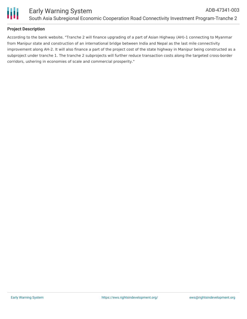

## **Project Description**

According to the bank website, "Tranche 2 will finance upgrading of a part of Asian Highway (AH)-1 connecting to Myanmar from Manipur state and construction of an international bridge between India and Nepal as the last mile connectivity improvement along AH-2. It will also finance a part of the project cost of the state highway in Manipur being constructed as a subproject under tranche 1. The tranche 2 subprojects will further reduce transaction costs along the targeted cross-border corridors, ushering in economies of scale and commercial prosperity."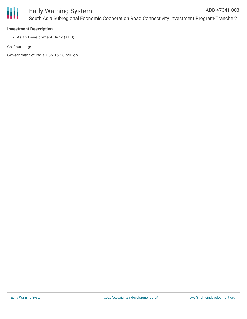

## **Investment Description**

Asian Development Bank (ADB)

Co-financing:

Government of India US\$ 157.8 million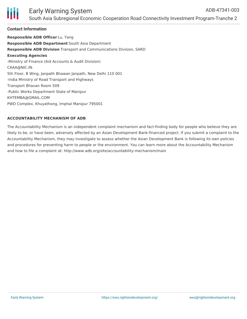

# Early Warning System South Asia Subregional Economic Cooperation Road Connectivity Investment Program-Tranche 2

### **Contact Information**

**Responsible ADB Officer** Lu, Yang **Responsible ADB Department** South Asia Department **Responsible ADB Division** Transport and Communications Division, SARD **Executing Agencies** -Ministry of Finance (Aid Accounts & Audit Division) CAAA@NIC.IN. 5th Floor, B Wing, Janpath Bhawan Janpath, New Delhi 110 001 -India Ministry of Road Transport and Highways Transport Bhavan Room 509 -Public Works Department State of Manipur KHTEMBA@GMAIL.COM PWD Complex, Khuyathong, Imphal Manipur 795001

#### **ACCOUNTABILITY MECHANISM OF ADB**

The Accountability Mechanism is an independent complaint mechanism and fact-finding body for people who believe they are likely to be, or have been, adversely affected by an Asian Development Bank-financed project. If you submit a complaint to the Accountability Mechanism, they may investigate to assess whether the Asian Development Bank is following its own policies and procedures for preventing harm to people or the environment. You can learn more about the Accountability Mechanism and how to file a complaint at: http://www.adb.org/site/accountability-mechanism/main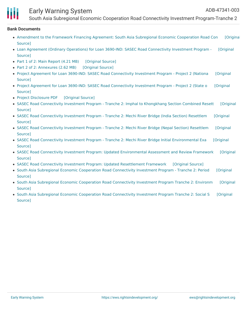

# Early Warning System

South Asia Subregional Economic Cooperation Road Connectivity Investment Program-Tranche 2

#### **Bank Documents**

- [Amendment](https://ewsdata.rightsindevelopment.org/files/documents/03/ADB-47341-003_ODbUrQb.pdf) to the Framework Financing Agreement: South Asia Subregional Economic Cooperation Road Con [Original Source]
- Loan Agreement (Ordinary Operations) for Loan 3690-IND: SASEC Road [Connectivity](https://ewsdata.rightsindevelopment.org/files/documents/03/ADB-47341-003_GpM2sRQ.pdf) Investment Program [Original Source]
- Part 1 of 2: Main [Report](https://ewsdata.rightsindevelopment.org/files/documents/03/ADB-47341-003_FiF06Ym.pdf) (4.21 MB) [\[Original](https://www.adb.org/projects/documents/ind-47341-003-iee-0) Source]
- Part 2 of 2: [Annexures](https://ewsdata.rightsindevelopment.org/files/documents/03/ADB-47341-003_EGASG8y.pdf) (2.62 MB) [\[Original](https://www.adb.org/projects/documents/ind-47341-003-iee-0) Source]
- Project Agreement for Loan 3690-IND: SASEC Road [Connectivity](https://ewsdata.rightsindevelopment.org/files/documents/03/ADB-47341-003_o3kXQPr.pdf) Investment Program Project 2 (Nationa [Original Source]
- Project Agreement for Loan 3690-IND: SASEC Road [Connectivity](https://ewsdata.rightsindevelopment.org/files/documents/03/ADB-47341-003_KaC8GAP.pdf) Investment Program Project 2 (State o [Original Source]
- Project [Disclosure](https://ewsdata.rightsindevelopment.org/files/documents/03/ADB-47341-003.pdf) PDF [\[Original](https://www.adb.org/printpdf/projects/47341-003/main) Source]
- SASEC Road [Connectivity](https://www.adb.org/projects/documents/ind-47341-003-remdp) Investment Program Tranche 2: Imphal to Khongkhang Section Combined Resett [Original Source]
- SASEC Road [Connectivity](https://www.adb.org/projects/documents/ind-47341-003-rp-0) Investment Program Tranche 2: Mechi River Bridge (India Section) Resettlem [Original Source]
- SASEC Road [Connectivity](https://www.adb.org/projects/documents/ind-47341-003-rp) Investment Program Tranche 2: Mechi River Bridge (Nepal Section) Resettlem [Original Source]
- SASEC Road Connectivity Investment Program Tranche 2: Mechi River Bridge Initial [Environmental](https://www.adb.org/projects/documents/ind-47341-003-iee) Exa [Original Source]
- SASEC Road Connectivity Investment Program: Updated [Environmental](https://www.adb.org/projects/documents/ind-47341-003-earf) Assessment and Review Framework [Original Source]
- SASEC Road Connectivity Investment Program: Updated [Resettlement](https://ewsdata.rightsindevelopment.org/files/documents/03/ADB-47341-003_a01386l.pdf) Framework [\[Original](https://www.adb.org/projects/documents/ind-47341-003-rf) Source]
- South Asia Subregional Economic Cooperation Road [Connectivity](https://ewsdata.rightsindevelopment.org/files/documents/03/ADB-47341-003_CF36YaE.pdf) Investment Program Tranche 2: Period [Original Source]
- South Asia Subregional Economic Cooperation Road [Connectivity](https://ewsdata.rightsindevelopment.org/files/documents/03/ADB-47341-003_s6uHLwr.pdf) Investment Program Tranche 2: Environm [Original Source]
- South Asia Subregional Economic Cooperation Road [Connectivity](https://ewsdata.rightsindevelopment.org/files/documents/03/ADB-47341-003_ZEzGy0M.pdf) Investment Program Tranche 2: Social S [Original Source]